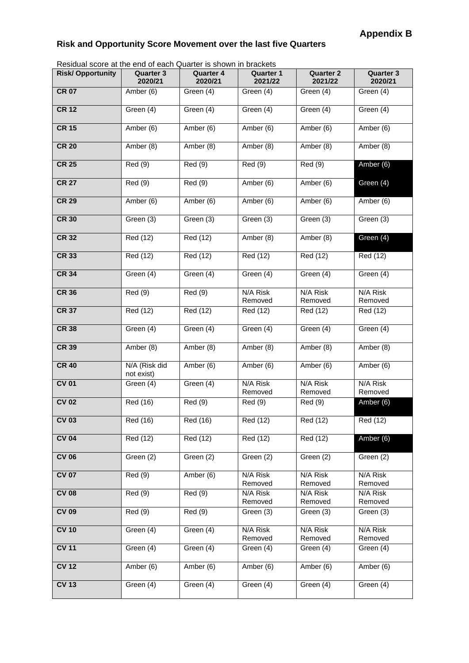## **Risk and Opportunity Score Movement over the last five Quarters**

Residual score at the end of each Quarter is shown in brackets

| Nesidial score at the end of each Quarter is shown in blackets |                             |                             |                             |                             |                             |
|----------------------------------------------------------------|-----------------------------|-----------------------------|-----------------------------|-----------------------------|-----------------------------|
| <b>Risk/Opportunity</b>                                        | <b>Quarter 3</b><br>2020/21 | <b>Quarter 4</b><br>2020/21 | <b>Quarter 1</b><br>2021/22 | <b>Quarter 2</b><br>2021/22 | <b>Quarter 3</b><br>2020/21 |
| <b>CR 07</b>                                                   | Amber (6)                   | Green (4)                   | Green (4)                   | Green (4)                   | Green (4)                   |
| <b>CR 12</b>                                                   | Green (4)                   | Green (4)                   | Green (4)                   | Green (4)                   | Green (4)                   |
| <b>CR 15</b>                                                   | Amber (6)                   | Amber (6)                   | Amber (6)                   | Amber (6)                   | Amber (6)                   |
| <b>CR 20</b>                                                   | Amber (8)                   | Amber (8)                   | Amber (8)                   | Amber (8)                   | Amber (8)                   |
| <b>CR 25</b>                                                   | Red (9)                     | Red(9)                      | Red (9)                     | Red (9)                     | Amber (6)                   |
| <b>CR 27</b>                                                   | Red (9)                     | Red (9)                     | Amber (6)                   | Amber (6)                   | Green (4)                   |
| <b>CR 29</b>                                                   | Amber (6)                   | Amber (6)                   | Amber (6)                   | Amber (6)                   | Amber (6)                   |
| <b>CR 30</b>                                                   | Green (3)                   | Green (3)                   | Green (3)                   | Green (3)                   | Green (3)                   |
| <b>CR 32</b>                                                   | Red (12)                    | Red (12)                    | Amber (8)                   | Amber (8)                   | Green (4)                   |
| <b>CR 33</b>                                                   | Red (12)                    | Red (12)                    | Red (12)                    | Red (12)                    | Red (12)                    |
| <b>CR 34</b>                                                   | Green (4)                   | Green (4)                   | Green (4)                   | Green (4)                   | Green (4)                   |
| <b>CR 36</b>                                                   | Red (9)                     | Red (9)                     | N/A Risk<br>Removed         | N/A Risk<br>Removed         | N/A Risk<br>Removed         |
| <b>CR 37</b>                                                   | Red (12)                    | Red (12)                    | Red (12)                    | Red (12)                    | Red (12)                    |
| <b>CR 38</b>                                                   | Green (4)                   | Green (4)                   | Green (4)                   | Green (4)                   | Green (4)                   |
| <b>CR 39</b>                                                   | Amber (8)                   | Amber (8)                   | Amber (8)                   | Amber (8)                   | Amber (8)                   |
| <b>CR 40</b>                                                   | N/A (Risk did<br>not exist) | Amber (6)                   | Amber (6)                   | Amber (6)                   | Amber (6)                   |
| <b>CV 01</b>                                                   | Green (4)                   | Green (4)                   | $N/A$ Risk<br>Removed       | N/A Risk<br>Removed         | N/A Risk<br>Removed         |
| <b>CV 02</b>                                                   | Red (16)                    | Red (9)                     | Red (9)                     | Red (9)                     | Amber (6)                   |
| <b>CV 03</b>                                                   | Red (16)                    | Red (16)                    | Red (12)                    | Red (12)                    | Red (12)                    |
| <b>CV 04</b>                                                   | Red (12)                    | Red (12)                    | Red (12)                    | Red (12)                    | Amber (6)                   |
| <b>CV 06</b>                                                   | Green (2)                   | Green (2)                   | Green (2)                   | Green (2)                   | Green (2)                   |
| <b>CV 07</b>                                                   | Red(9)                      | Amber (6)                   | N/A Risk<br>Removed         | N/A Risk<br>Removed         | N/A Risk<br>Removed         |
| <b>CV 08</b>                                                   | Red(9)                      | Red(9)                      | N/A Risk<br>Removed         | N/A Risk<br>Removed         | N/A Risk<br>Removed         |
| <b>CV 09</b>                                                   | Red(9)                      | Red(9)                      | Green (3)                   | Green (3)                   | Green (3)                   |
| <b>CV 10</b>                                                   | Green (4)                   | Green (4)                   | N/A Risk<br>Removed         | N/A Risk<br>Removed         | N/A Risk<br>Removed         |
| <b>CV 11</b>                                                   | Green (4)                   | Green (4)                   | Green (4)                   | Green (4)                   | Green (4)                   |
| <b>CV 12</b>                                                   | Amber (6)                   | Amber (6)                   | Amber (6)                   | Amber (6)                   | Amber (6)                   |
| <b>CV 13</b>                                                   | Green (4)                   | Green (4)                   | Green (4)                   | Green (4)                   | Green (4)                   |